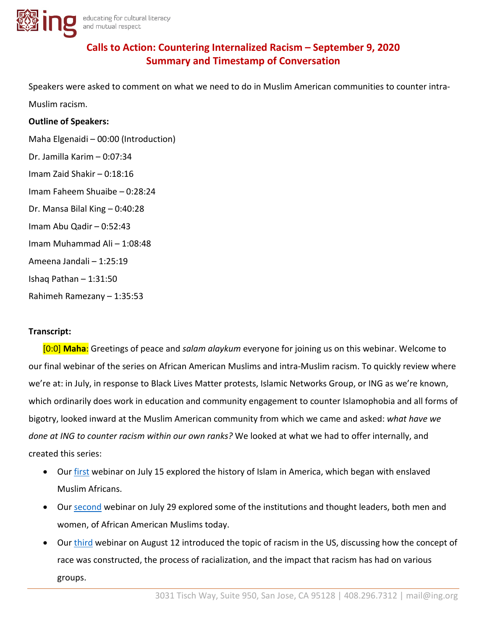

# **Calls to Action: Countering Internalized Racism – September 9, 2020 Summary and Timestamp of Conversation**

Speakers were asked to comment on what we need to do in Muslim American communities to counter intra-

Muslim racism.

### **Outline of Speakers:**

Maha Elgenaidi – 00:00 (Introduction) Dr. Jamilla Karim – 0:07:34 Imam Zaid Shakir – 0:18:16 Imam Faheem Shuaibe – 0:28:24 Dr. Mansa Bilal King – 0:40:28 Imam Abu Qadir – 0:52:43 Imam Muhammad Ali – 1:08:48 Ameena Jandali – 1:25:19 Ishaq Pathan – 1:31:50 Rahimeh Ramezany – 1:35:53

## **Transcript:**

[0:0] **Maha**: Greetings of peace and *salam alaykum* everyone for joining us on this webinar. Welcome to our final webinar of the series on African American Muslims and intra-Muslim racism. To quickly review where we're at: in July, in response to Black Lives Matter protests, Islamic Networks Group, or ING as we're known, which ordinarily does work in education and community engagement to counter Islamophobia and all forms of bigotry, looked inward at the Muslim American community from which we came and asked: *what have we done at ING to counter racism within our own ranks?* We looked at what we had to offer internally, and created this series:

- Our [first](https://www.facebook.com/279890513018/videos/283088969467855) webinar on July 15 explored the history of Islam in America, which began with enslaved Muslim Africans.
- Our [second](https://www.facebook.com/279890513018/videos/919451518536804) webinar on July 29 explored some of the institutions and thought leaders, both men and women, of African American Muslims today.
- Our [third](https://www.facebook.com/279890513018/videos/2709205252644565) webinar on August 12 introduced the topic of racism in the US, discussing how the concept of race was constructed, the process of racialization, and the impact that racism has had on various groups.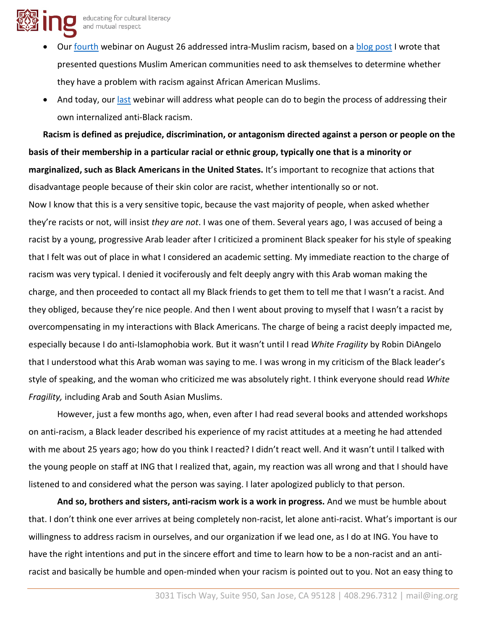

- Our [fourth](https://www.facebook.com/279890513018/videos/620361975337256) webinar on August 26 addressed intra-Muslim racism, based on a [blog post](https://ing.org/muslim-american-community-problem-intra-muslim-racism/) I wrote that presented questions Muslim American communities need to ask themselves to determine whether they have a problem with racism against African American Muslims.
- And today, our [last](https://www.facebook.com/279890513018/videos/740259540149835) webinar will address what people can do to begin the process of addressing their own internalized anti-Black racism.

**Racism is defined as prejudice, discrimination, or antagonism directed against a person or people on the basis of their membership in a particular racial or ethnic group, typically one that is a minority or marginalized, such as Black Americans in the United States.** It's important to recognize that actions that disadvantage people because of their skin color are racist, whether intentionally so or not. Now I know that this is a very sensitive topic, because the vast majority of people, when asked whether they're racists or not, will insist *they are not*. I was one of them. Several years ago, I was accused of being a racist by a young, progressive Arab leader after I criticized a prominent Black speaker for his style of speaking that I felt was out of place in what I considered an academic setting. My immediate reaction to the charge of racism was very typical. I denied it vociferously and felt deeply angry with this Arab woman making the charge, and then proceeded to contact all my Black friends to get them to tell me that I wasn't a racist. And they obliged, because they're nice people. And then I went about proving to myself that I wasn't a racist by overcompensating in my interactions with Black Americans. The charge of being a racist deeply impacted me, especially because I do anti-Islamophobia work. But it wasn't until I read *White Fragility* by Robin DiAngelo that I understood what this Arab woman was saying to me. I was wrong in my criticism of the Black leader's style of speaking, and the woman who criticized me was absolutely right. I think everyone should read *White Fragility,* including Arab and South Asian Muslims.

However, just a few months ago, when, even after I had read several books and attended workshops on anti-racism, a Black leader described his experience of my racist attitudes at a meeting he had attended with me about 25 years ago; how do you think I reacted? I didn't react well. And it wasn't until I talked with the young people on staff at ING that I realized that, again, my reaction was all wrong and that I should have listened to and considered what the person was saying. I later apologized publicly to that person.

**And so, brothers and sisters, anti-racism work is a work in progress.** And we must be humble about that. I don't think one ever arrives at being completely non-racist, let alone anti-racist. What's important is our willingness to address racism in ourselves, and our organization if we lead one, as I do at ING. You have to have the right intentions and put in the sincere effort and time to learn how to be a non-racist and an antiracist and basically be humble and open-minded when your racism is pointed out to you. Not an easy thing to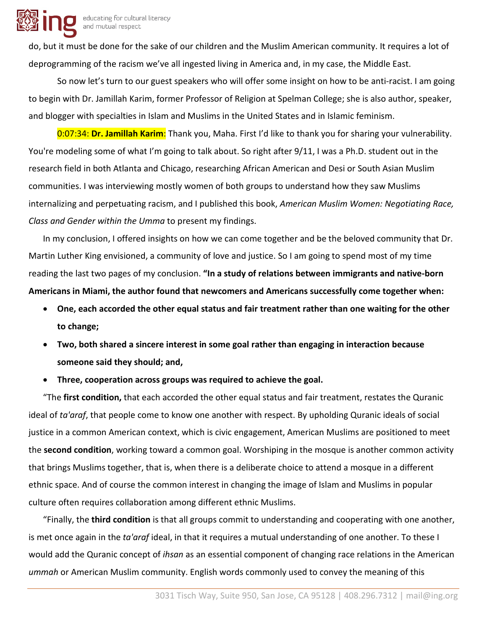

do, but it must be done for the sake of our children and the Muslim American community. It requires a lot of deprogramming of the racism we've all ingested living in America and, in my case, the Middle East.

So now let's turn to our guest speakers who will offer some insight on how to be anti-racist. I am going to begin with Dr. Jamillah Karim, former Professor of Religion at Spelman College; she is also author, speaker, and blogger with specialties in Islam and Muslims in the United States and in Islamic feminism.

0:07:34: **Dr. Jamillah Karim**: Thank you, Maha. First I'd like to thank you for sharing your vulnerability. You're modeling some of what I'm going to talk about. So right after 9/11, I was a Ph.D. student out in the research field in both Atlanta and Chicago, researching African American and Desi or South Asian Muslim communities. I was interviewing mostly women of both groups to understand how they saw Muslims internalizing and perpetuating racism, and I published this book, *American Muslim Women: Negotiating Race, Class and Gender within the Umma* to present my findings.

In my conclusion, I offered insights on how we can come together and be the beloved community that Dr. Martin Luther King envisioned, a community of love and justice. So I am going to spend most of my time reading the last two pages of my conclusion. **"In a study of relations between immigrants and native-born Americans in Miami, the author found that newcomers and Americans successfully come together when:** 

- **One, each accorded the other equal status and fair treatment rather than one waiting for the other to change;**
- **Two, both shared a sincere interest in some goal rather than engaging in interaction because someone said they should; and,**
- **Three, cooperation across groups was required to achieve the goal.**

"The **first condition,** that each accorded the other equal status and fair treatment, restates the Quranic ideal of *ta'araf*, that people come to know one another with respect. By upholding Quranic ideals of social justice in a common American context, which is civic engagement, American Muslims are positioned to meet the **second condition**, working toward a common goal. Worshiping in the mosque is another common activity that brings Muslims together, that is, when there is a deliberate choice to attend a mosque in a different ethnic space. And of course the common interest in changing the image of Islam and Muslims in popular culture often requires collaboration among different ethnic Muslims.

"Finally, the **third condition** is that all groups commit to understanding and cooperating with one another, is met once again in the *ta'araf* ideal, in that it requires a mutual understanding of one another. To these I would add the Quranic concept of *ihsan* as an essential component of changing race relations in the American *ummah* or American Muslim community. English words commonly used to convey the meaning of this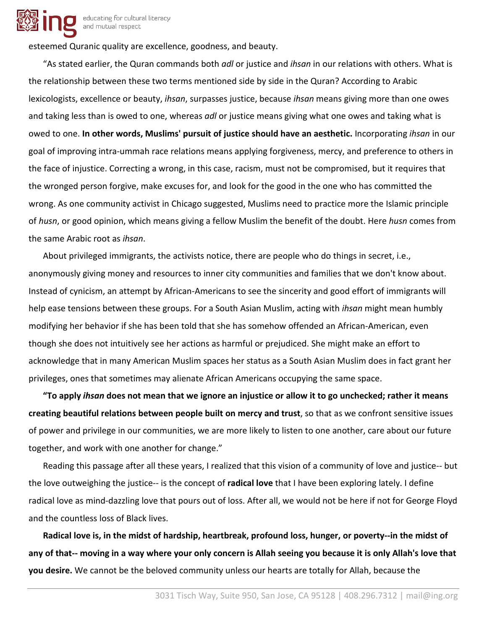

esteemed Quranic quality are excellence, goodness, and beauty.

"As stated earlier, the Quran commands both *adl* or justice and *ihsan* in our relations with others. What is the relationship between these two terms mentioned side by side in the Quran? According to Arabic lexicologists, excellence or beauty, *ihsan*, surpasses justice, because *ihsan* means giving more than one owes and taking less than is owed to one, whereas *adl* or justice means giving what one owes and taking what is owed to one. **In other words, Muslims' pursuit of justice should have an aesthetic.** Incorporating *ihsan* in our goal of improving intra-ummah race relations means applying forgiveness, mercy, and preference to others in the face of injustice. Correcting a wrong, in this case, racism, must not be compromised, but it requires that the wronged person forgive, make excuses for, and look for the good in the one who has committed the wrong. As one community activist in Chicago suggested, Muslims need to practice more the Islamic principle of *husn*, or good opinion, which means giving a fellow Muslim the benefit of the doubt. Here *husn* comes from the same Arabic root as *ihsan*.

About privileged immigrants, the activists notice, there are people who do things in secret, i.e., anonymously giving money and resources to inner city communities and families that we don't know about. Instead of cynicism, an attempt by African-Americans to see the sincerity and good effort of immigrants will help ease tensions between these groups. For a South Asian Muslim, acting with *ihsan* might mean humbly modifying her behavior if she has been told that she has somehow offended an African-American, even though she does not intuitively see her actions as harmful or prejudiced. She might make an effort to acknowledge that in many American Muslim spaces her status as a South Asian Muslim does in fact grant her privileges, ones that sometimes may alienate African Americans occupying the same space.

**"To apply** *ihsan* **does not mean that we ignore an injustice or allow it to go unchecked; rather it means creating beautiful relations between people built on mercy and trust**, so that as we confront sensitive issues of power and privilege in our communities, we are more likely to listen to one another, care about our future together, and work with one another for change."

Reading this passage after all these years, I realized that this vision of a community of love and justice-- but the love outweighing the justice-- is the concept of **radical love** that I have been exploring lately. I define radical love as mind-dazzling love that pours out of loss. After all, we would not be here if not for George Floyd and the countless loss of Black lives.

**Radical love is, in the midst of hardship, heartbreak, profound loss, hunger, or poverty--in the midst of any of that-- moving in a way where your only concern is Allah seeing you because it is only Allah's love that you desire.** We cannot be the beloved community unless our hearts are totally for Allah, because the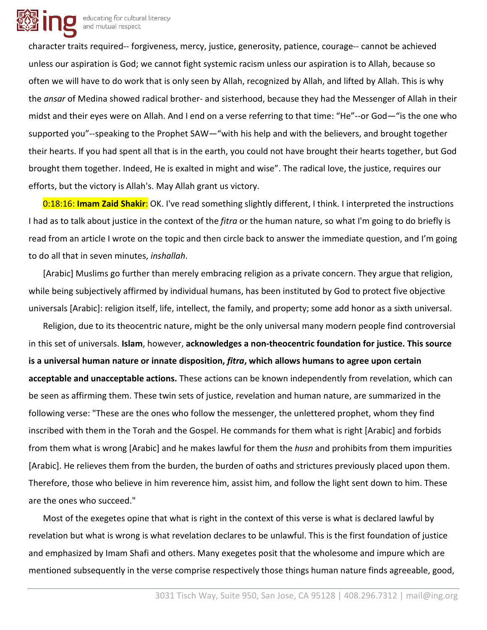

character traits required-- forgiveness, mercy, justice, generosity, patience, courage-- cannot be achieved unless our aspiration is God; we cannot fight systemic racism unless our aspiration is to Allah, because so often we will have to do work that is only seen by Allah, recognized by Allah, and lifted by Allah. This is why the *ansar* of Medina showed radical brother- and sisterhood, because they had the Messenger of Allah in their midst and their eyes were on Allah. And I end on a verse referring to that time: "He"--or God—"is the one who supported you"--speaking to the Prophet SAW—"with his help and with the believers, and brought together their hearts. If you had spent all that is in the earth, you could not have brought their hearts together, but God brought them together. Indeed, He is exalted in might and wise". The radical love, the justice, requires our efforts, but the victory is Allah's. May Allah grant us victory.

0:18:16: **Imam Zaid Shakir**: OK. I've read something slightly different, I think. I interpreted the instructions I had as to talk about justice in the context of the *fitra* or the human nature, so what I'm going to do briefly is read from an article I wrote on the topic and then circle back to answer the immediate question, and I'm going to do all that in seven minutes, *inshallah*.

[Arabic] Muslims go further than merely embracing religion as a private concern. They argue that religion, while being subjectively affirmed by individual humans, has been instituted by God to protect five objective universals [Arabic]: religion itself, life, intellect, the family, and property; some add honor as a sixth universal.

Religion, due to its theocentric nature, might be the only universal many modern people find controversial in this set of universals. **Islam**, however, **acknowledges a non-theocentric foundation for justice. This source is a universal human nature or innate disposition,** *fitra***, which allows humans to agree upon certain acceptable and unacceptable actions.** These actions can be known independently from revelation, which can be seen as affirming them. These twin sets of justice, revelation and human nature, are summarized in the following verse: "These are the ones who follow the messenger, the unlettered prophet, whom they find inscribed with them in the Torah and the Gospel. He commands for them what is right [Arabic] and forbids from them what is wrong [Arabic] and he makes lawful for them the *husn* and prohibits from them impurities [Arabic]. He relieves them from the burden, the burden of oaths and strictures previously placed upon them. Therefore, those who believe in him reverence him, assist him, and follow the light sent down to him. These are the ones who succeed."

Most of the exegetes opine that what is right in the context of this verse is what is declared lawful by revelation but what is wrong is what revelation declares to be unlawful. This is the first foundation of justice and emphasized by Imam Shafi and others. Many exegetes posit that the wholesome and impure which are mentioned subsequently in the verse comprise respectively those things human nature finds agreeable, good,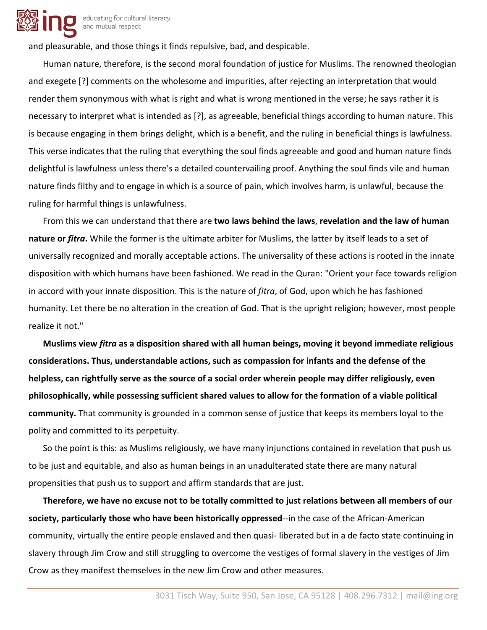

educating for cultural literacy and mutual respect

and pleasurable, and those things it finds repulsive, bad, and despicable.

Human nature, therefore, is the second moral foundation of justice for Muslims. The renowned theologian and exegete [?] comments on the wholesome and impurities, after rejecting an interpretation that would render them synonymous with what is right and what is wrong mentioned in the verse; he says rather it is necessary to interpret what is intended as [?], as agreeable, beneficial things according to human nature. This is because engaging in them brings delight, which is a benefit, and the ruling in beneficial things is lawfulness. This verse indicates that the ruling that everything the soul finds agreeable and good and human nature finds delightful is lawfulness unless there's a detailed countervailing proof. Anything the soul finds vile and human nature finds filthy and to engage in which is a source of pain, which involves harm, is unlawful, because the ruling for harmful things is unlawfulness.

From this we can understand that there are **two laws behind the laws**, **revelation and the law of human nature or** *fitra***.** While the former is the ultimate arbiter for Muslims, the latter by itself leads to a set of universally recognized and morally acceptable actions. The universality of these actions is rooted in the innate disposition with which humans have been fashioned. We read in the Quran: "Orient your face towards religion in accord with your innate disposition. This is the nature of *fitra*, of God, upon which he has fashioned humanity. Let there be no alteration in the creation of God. That is the upright religion; however, most people realize it not."

**Muslims view** *fitra* **as a disposition shared with all human beings, moving it beyond immediate religious considerations. Thus, understandable actions, such as compassion for infants and the defense of the helpless, can rightfully serve as the source of a social order wherein people may differ religiously, even philosophically, while possessing sufficient shared values to allow for the formation of a viable political community.** That community is grounded in a common sense of justice that keeps its members loyal to the polity and committed to its perpetuity.

So the point is this: as Muslims religiously, we have many injunctions contained in revelation that push us to be just and equitable, and also as human beings in an unadulterated state there are many natural propensities that push us to support and affirm standards that are just.

**Therefore, we have no excuse not to be totally committed to just relations between all members of our society, particularly those who have been historically oppressed**--in the case of the African-American community, virtually the entire people enslaved and then quasi- liberated but in a de facto state continuing in slavery through Jim Crow and still struggling to overcome the vestiges of formal slavery in the vestiges of Jim Crow as they manifest themselves in the new Jim Crow and other measures.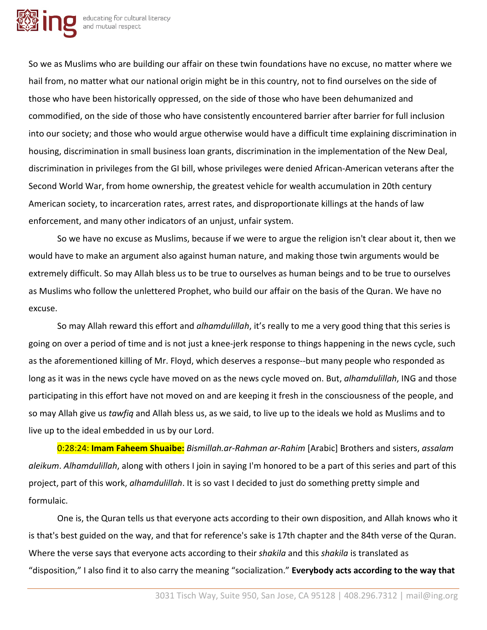

So we as Muslims who are building our affair on these twin foundations have no excuse, no matter where we hail from, no matter what our national origin might be in this country, not to find ourselves on the side of those who have been historically oppressed, on the side of those who have been dehumanized and commodified, on the side of those who have consistently encountered barrier after barrier for full inclusion into our society; and those who would argue otherwise would have a difficult time explaining discrimination in housing, discrimination in small business loan grants, discrimination in the implementation of the New Deal, discrimination in privileges from the GI bill, whose privileges were denied African-American veterans after the Second World War, from home ownership, the greatest vehicle for wealth accumulation in 20th century American society, to incarceration rates, arrest rates, and disproportionate killings at the hands of law enforcement, and many other indicators of an unjust, unfair system.

So we have no excuse as Muslims, because if we were to argue the religion isn't clear about it, then we would have to make an argument also against human nature, and making those twin arguments would be extremely difficult. So may Allah bless us to be true to ourselves as human beings and to be true to ourselves as Muslims who follow the unlettered Prophet, who build our affair on the basis of the Quran. We have no excuse.

So may Allah reward this effort and *alhamdulillah*, it's really to me a very good thing that this series is going on over a period of time and is not just a knee-jerk response to things happening in the news cycle, such as the aforementioned killing of Mr. Floyd, which deserves a response--but many people who responded as long as it was in the news cycle have moved on as the news cycle moved on. But, *alhamdulillah*, ING and those participating in this effort have not moved on and are keeping it fresh in the consciousness of the people, and so may Allah give us *tawfiq* and Allah bless us, as we said, to live up to the ideals we hold as Muslims and to live up to the ideal embedded in us by our Lord.

0:28:24: **Imam Faheem Shuaibe:** *Bismillah.ar-Rahman ar-Rahim* [Arabic] Brothers and sisters, *assalam aleikum*. *Alhamdulillah*, along with others I join in saying I'm honored to be a part of this series and part of this project, part of this work, *alhamdulillah*. It is so vast I decided to just do something pretty simple and formulaic.

One is, the Quran tells us that everyone acts according to their own disposition, and Allah knows who it is that's best guided on the way, and that for reference's sake is 17th chapter and the 84th verse of the Quran. Where the verse says that everyone acts according to their *shakila* and this *shakila* is translated as "disposition," I also find it to also carry the meaning "socialization." **Everybody acts according to the way that**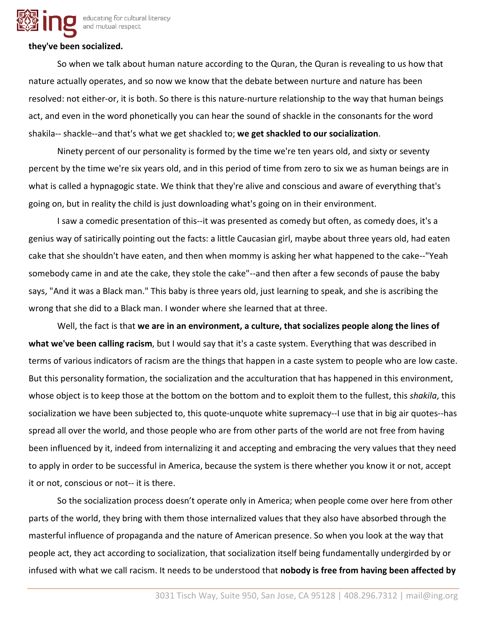

#### **they've been socialized.**

So when we talk about human nature according to the Quran, the Quran is revealing to us how that nature actually operates, and so now we know that the debate between nurture and nature has been resolved: not either-or, it is both. So there is this nature-nurture relationship to the way that human beings act, and even in the word phonetically you can hear the sound of shackle in the consonants for the word shakila-- shackle--and that's what we get shackled to; **we get shackled to our socialization**.

Ninety percent of our personality is formed by the time we're ten years old, and sixty or seventy percent by the time we're six years old, and in this period of time from zero to six we as human beings are in what is called a hypnagogic state. We think that they're alive and conscious and aware of everything that's going on, but in reality the child is just downloading what's going on in their environment.

I saw a comedic presentation of this--it was presented as comedy but often, as comedy does, it's a genius way of satirically pointing out the facts: a little Caucasian girl, maybe about three years old, had eaten cake that she shouldn't have eaten, and then when mommy is asking her what happened to the cake--"Yeah somebody came in and ate the cake, they stole the cake"--and then after a few seconds of pause the baby says, "And it was a Black man." This baby is three years old, just learning to speak, and she is ascribing the wrong that she did to a Black man. I wonder where she learned that at three.

Well, the fact is that **we are in an environment, a culture, that socializes people along the lines of what we've been calling racism**, but I would say that it's a caste system. Everything that was described in terms of various indicators of racism are the things that happen in a caste system to people who are low caste. But this personality formation, the socialization and the acculturation that has happened in this environment, whose object is to keep those at the bottom on the bottom and to exploit them to the fullest, this *shakila*, this socialization we have been subjected to, this quote-unquote white supremacy--I use that in big air quotes--has spread all over the world, and those people who are from other parts of the world are not free from having been influenced by it, indeed from internalizing it and accepting and embracing the very values that they need to apply in order to be successful in America, because the system is there whether you know it or not, accept it or not, conscious or not-- it is there.

So the socialization process doesn't operate only in America; when people come over here from other parts of the world, they bring with them those internalized values that they also have absorbed through the masterful influence of propaganda and the nature of American presence. So when you look at the way that people act, they act according to socialization, that socialization itself being fundamentally undergirded by or infused with what we call racism. It needs to be understood that **nobody is free from having been affected by**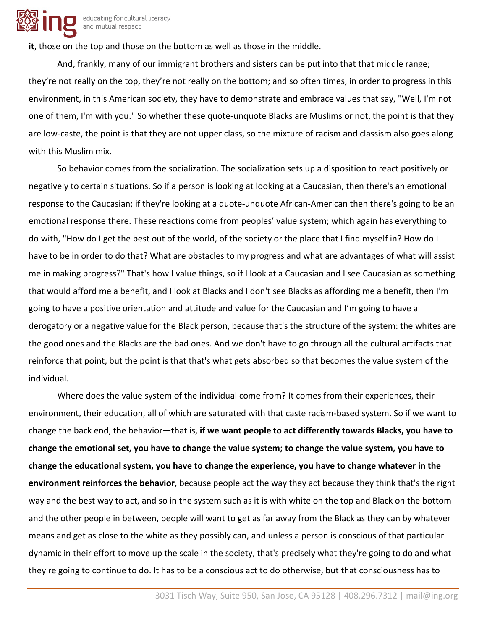

**it**, those on the top and those on the bottom as well as those in the middle.

And, frankly, many of our immigrant brothers and sisters can be put into that that middle range; they're not really on the top, they're not really on the bottom; and so often times, in order to progress in this environment, in this American society, they have to demonstrate and embrace values that say, "Well, I'm not one of them, I'm with you." So whether these quote-unquote Blacks are Muslims or not, the point is that they are low-caste, the point is that they are not upper class, so the mixture of racism and classism also goes along with this Muslim mix.

So behavior comes from the socialization. The socialization sets up a disposition to react positively or negatively to certain situations. So if a person is looking at looking at a Caucasian, then there's an emotional response to the Caucasian; if they're looking at a quote-unquote African-American then there's going to be an emotional response there. These reactions come from peoples' value system; which again has everything to do with, "How do I get the best out of the world, of the society or the place that I find myself in? How do I have to be in order to do that? What are obstacles to my progress and what are advantages of what will assist me in making progress?" That's how I value things, so if I look at a Caucasian and I see Caucasian as something that would afford me a benefit, and I look at Blacks and I don't see Blacks as affording me a benefit, then I'm going to have a positive orientation and attitude and value for the Caucasian and I'm going to have a derogatory or a negative value for the Black person, because that's the structure of the system: the whites are the good ones and the Blacks are the bad ones. And we don't have to go through all the cultural artifacts that reinforce that point, but the point is that that's what gets absorbed so that becomes the value system of the individual.

Where does the value system of the individual come from? It comes from their experiences, their environment, their education, all of which are saturated with that caste racism-based system. So if we want to change the back end, the behavior—that is, **if we want people to act differently towards Blacks, you have to change the emotional set, you have to change the value system; to change the value system, you have to change the educational system, you have to change the experience, you have to change whatever in the environment reinforces the behavior**, because people act the way they act because they think that's the right way and the best way to act, and so in the system such as it is with white on the top and Black on the bottom and the other people in between, people will want to get as far away from the Black as they can by whatever means and get as close to the white as they possibly can, and unless a person is conscious of that particular dynamic in their effort to move up the scale in the society, that's precisely what they're going to do and what they're going to continue to do. It has to be a conscious act to do otherwise, but that consciousness has to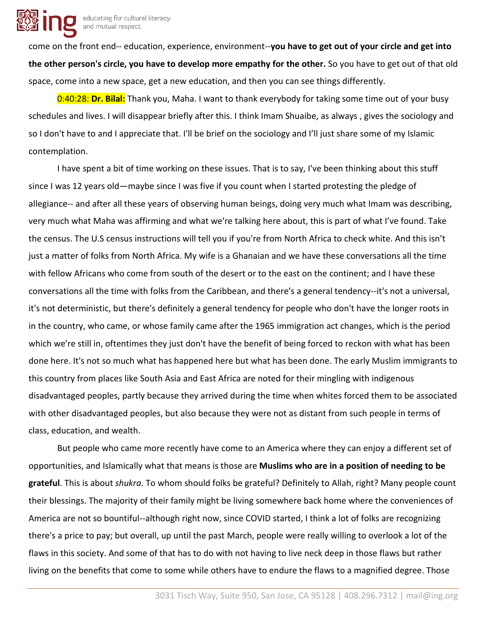

come on the front end-- education, experience, environment--**you have to get out of your circle and get into the other person's circle, you have to develop more empathy for the other.** So you have to get out of that old space, come into a new space, get a new education, and then you can see things differently.

0:40:28: **Dr. Bilal:** Thank you, Maha. I want to thank everybody for taking some time out of your busy schedules and lives. I will disappear briefly after this. I think Imam Shuaibe, as always , gives the sociology and so I don't have to and I appreciate that. I'll be brief on the sociology and I'll just share some of my Islamic contemplation.

I have spent a bit of time working on these issues. That is to say, I've been thinking about this stuff since I was 12 years old—maybe since I was five if you count when I started protesting the pledge of allegiance-- and after all these years of observing human beings, doing very much what Imam was describing, very much what Maha was affirming and what we're talking here about, this is part of what I've found. Take the census. The U.S census instructions will tell you if you're from North Africa to check white. And this isn't just a matter of folks from North Africa. My wife is a Ghanaian and we have these conversations all the time with fellow Africans who come from south of the desert or to the east on the continent; and I have these conversations all the time with folks from the Caribbean, and there's a general tendency--it's not a universal, it's not deterministic, but there's definitely a general tendency for people who don't have the longer roots in in the country, who came, or whose family came after the 1965 immigration act changes, which is the period which we're still in, oftentimes they just don't have the benefit of being forced to reckon with what has been done here. It's not so much what has happened here but what has been done. The early Muslim immigrants to this country from places like South Asia and East Africa are noted for their mingling with indigenous disadvantaged peoples, partly because they arrived during the time when whites forced them to be associated with other disadvantaged peoples, but also because they were not as distant from such people in terms of class, education, and wealth.

But people who came more recently have come to an America where they can enjoy a different set of opportunities, and Islamically what that means is those are **Muslims who are in a position of needing to be grateful**. This is about *shukra*. To whom should folks be grateful? Definitely to Allah, right? Many people count their blessings. The majority of their family might be living somewhere back home where the conveniences of America are not so bountiful--although right now, since COVID started, I think a lot of folks are recognizing there's a price to pay; but overall, up until the past March, people were really willing to overlook a lot of the flaws in this society. And some of that has to do with not having to live neck deep in those flaws but rather living on the benefits that come to some while others have to endure the flaws to a magnified degree. Those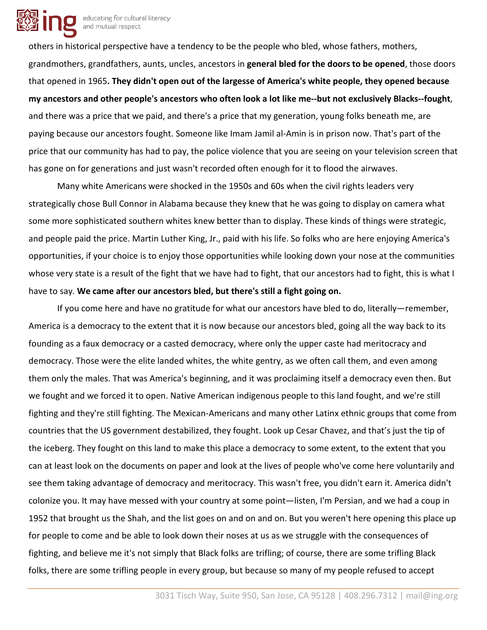

educating for cultural literacy and mutual respect

others in historical perspective have a tendency to be the people who bled, whose fathers, mothers, grandmothers, grandfathers, aunts, uncles, ancestors in **general bled for the doors to be opened**, those doors that opened in 1965**. They didn't open out of the largesse of America's white people, they opened because my ancestors and other people's ancestors who often look a lot like me--but not exclusively Blacks--fought**, and there was a price that we paid, and there's a price that my generation, young folks beneath me, are paying because our ancestors fought. Someone like Imam Jamil al-Amin is in prison now. That's part of the price that our community has had to pay, the police violence that you are seeing on your television screen that has gone on for generations and just wasn't recorded often enough for it to flood the airwaves.

Many white Americans were shocked in the 1950s and 60s when the civil rights leaders very strategically chose Bull Connor in Alabama because they knew that he was going to display on camera what some more sophisticated southern whites knew better than to display. These kinds of things were strategic, and people paid the price. Martin Luther King, Jr., paid with his life. So folks who are here enjoying America's opportunities, if your choice is to enjoy those opportunities while looking down your nose at the communities whose very state is a result of the fight that we have had to fight, that our ancestors had to fight, this is what I have to say. **We came after our ancestors bled, but there's still a fight going on.**

If you come here and have no gratitude for what our ancestors have bled to do, literally—remember, America is a democracy to the extent that it is now because our ancestors bled, going all the way back to its founding as a faux democracy or a casted democracy, where only the upper caste had meritocracy and democracy. Those were the elite landed whites, the white gentry, as we often call them, and even among them only the males. That was America's beginning, and it was proclaiming itself a democracy even then. But we fought and we forced it to open. Native American indigenous people to this land fought, and we're still fighting and they're still fighting. The Mexican-Americans and many other Latinx ethnic groups that come from countries that the US government destabilized, they fought. Look up Cesar Chavez, and that's just the tip of the iceberg. They fought on this land to make this place a democracy to some extent, to the extent that you can at least look on the documents on paper and look at the lives of people who've come here voluntarily and see them taking advantage of democracy and meritocracy. This wasn't free, you didn't earn it. America didn't colonize you. It may have messed with your country at some point—listen, I'm Persian, and we had a coup in 1952 that brought us the Shah, and the list goes on and on and on. But you weren't here opening this place up for people to come and be able to look down their noses at us as we struggle with the consequences of fighting, and believe me it's not simply that Black folks are trifling; of course, there are some trifling Black folks, there are some trifling people in every group, but because so many of my people refused to accept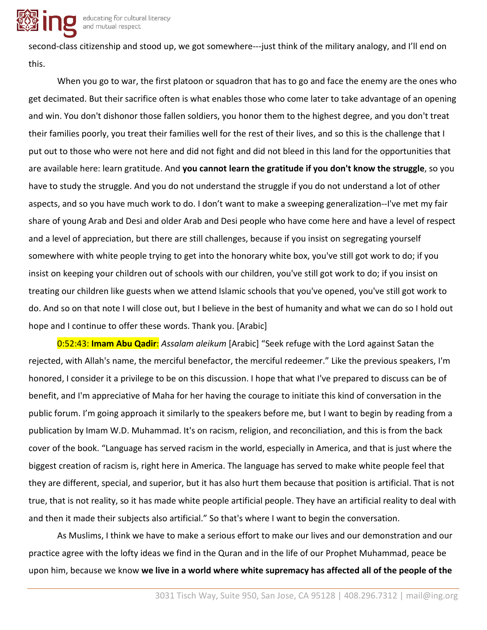

second-class citizenship and stood up, we got somewhere---just think of the military analogy, and I'll end on this.

When you go to war, the first platoon or squadron that has to go and face the enemy are the ones who get decimated. But their sacrifice often is what enables those who come later to take advantage of an opening and win. You don't dishonor those fallen soldiers, you honor them to the highest degree, and you don't treat their families poorly, you treat their families well for the rest of their lives, and so this is the challenge that I put out to those who were not here and did not fight and did not bleed in this land for the opportunities that are available here: learn gratitude. And **you cannot learn the gratitude if you don't know the struggle**, so you have to study the struggle. And you do not understand the struggle if you do not understand a lot of other aspects, and so you have much work to do. I don't want to make a sweeping generalization--I've met my fair share of young Arab and Desi and older Arab and Desi people who have come here and have a level of respect and a level of appreciation, but there are still challenges, because if you insist on segregating yourself somewhere with white people trying to get into the honorary white box, you've still got work to do; if you insist on keeping your children out of schools with our children, you've still got work to do; if you insist on treating our children like guests when we attend Islamic schools that you've opened, you've still got work to do. And so on that note I will close out, but I believe in the best of humanity and what we can do so I hold out hope and I continue to offer these words. Thank you. [Arabic]

0:52:43: **Imam Abu Qadir**: *Assalam aleikum* [Arabic] "Seek refuge with the Lord against Satan the rejected, with Allah's name, the merciful benefactor, the merciful redeemer." Like the previous speakers, I'm honored, I consider it a privilege to be on this discussion. I hope that what I've prepared to discuss can be of benefit, and I'm appreciative of Maha for her having the courage to initiate this kind of conversation in the public forum. I'm going approach it similarly to the speakers before me, but I want to begin by reading from a publication by Imam W.D. Muhammad. It's on racism, religion, and reconciliation, and this is from the back cover of the book. "Language has served racism in the world, especially in America, and that is just where the biggest creation of racism is, right here in America. The language has served to make white people feel that they are different, special, and superior, but it has also hurt them because that position is artificial. That is not true, that is not reality, so it has made white people artificial people. They have an artificial reality to deal with and then it made their subjects also artificial." So that's where I want to begin the conversation.

As Muslims, I think we have to make a serious effort to make our lives and our demonstration and our practice agree with the lofty ideas we find in the Quran and in the life of our Prophet Muhammad, peace be upon him, because we know **we live in a world where white supremacy has affected all of the people of the**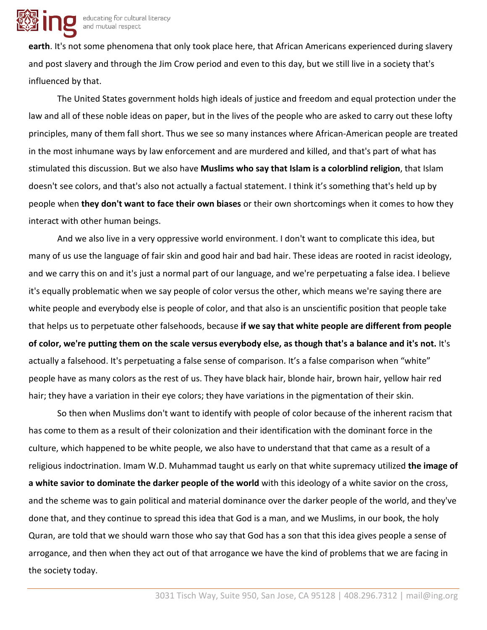**earth**. It's not some phenomena that only took place here, that African Americans experienced during slavery and post slavery and through the Jim Crow period and even to this day, but we still live in a society that's influenced by that.

The United States government holds high ideals of justice and freedom and equal protection under the law and all of these noble ideas on paper, but in the lives of the people who are asked to carry out these lofty principles, many of them fall short. Thus we see so many instances where African-American people are treated in the most inhumane ways by law enforcement and are murdered and killed, and that's part of what has stimulated this discussion. But we also have **Muslims who say that Islam is a colorblind religion**, that Islam doesn't see colors, and that's also not actually a factual statement. I think it's something that's held up by people when **they don't want to face their own biases** or their own shortcomings when it comes to how they interact with other human beings.

And we also live in a very oppressive world environment. I don't want to complicate this idea, but many of us use the language of fair skin and good hair and bad hair. These ideas are rooted in racist ideology, and we carry this on and it's just a normal part of our language, and we're perpetuating a false idea. I believe it's equally problematic when we say people of color versus the other, which means we're saying there are white people and everybody else is people of color, and that also is an unscientific position that people take that helps us to perpetuate other falsehoods, because **if we say that white people are different from people of color, we're putting them on the scale versus everybody else, as though that's a balance and it's not.** It's actually a falsehood. It's perpetuating a false sense of comparison. It's a false comparison when "white" people have as many colors as the rest of us. They have black hair, blonde hair, brown hair, yellow hair red hair; they have a variation in their eye colors; they have variations in the pigmentation of their skin.

So then when Muslims don't want to identify with people of color because of the inherent racism that has come to them as a result of their colonization and their identification with the dominant force in the culture, which happened to be white people, we also have to understand that that came as a result of a religious indoctrination. Imam W.D. Muhammad taught us early on that white supremacy utilized **the image of a white savior to dominate the darker people of the world** with this ideology of a white savior on the cross, and the scheme was to gain political and material dominance over the darker people of the world, and they've done that, and they continue to spread this idea that God is a man, and we Muslims, in our book, the holy Quran, are told that we should warn those who say that God has a son that this idea gives people a sense of arrogance, and then when they act out of that arrogance we have the kind of problems that we are facing in the society today.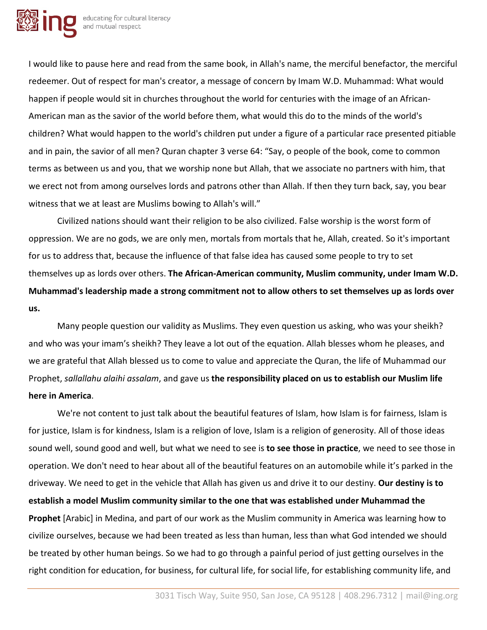

I would like to pause here and read from the same book, in Allah's name, the merciful benefactor, the merciful redeemer. Out of respect for man's creator, a message of concern by Imam W.D. Muhammad: What would happen if people would sit in churches throughout the world for centuries with the image of an African-American man as the savior of the world before them, what would this do to the minds of the world's children? What would happen to the world's children put under a figure of a particular race presented pitiable and in pain, the savior of all men? Quran chapter 3 verse 64: "Say, o people of the book, come to common terms as between us and you, that we worship none but Allah, that we associate no partners with him, that we erect not from among ourselves lords and patrons other than Allah. If then they turn back, say, you bear witness that we at least are Muslims bowing to Allah's will."

Civilized nations should want their religion to be also civilized. False worship is the worst form of oppression. We are no gods, we are only men, mortals from mortals that he, Allah, created. So it's important for us to address that, because the influence of that false idea has caused some people to try to set themselves up as lords over others. **The African-American community, Muslim community, under Imam W.D. Muhammad's leadership made a strong commitment not to allow others to set themselves up as lords over us.**

Many people question our validity as Muslims. They even question us asking, who was your sheikh? and who was your imam's sheikh? They leave a lot out of the equation. Allah blesses whom he pleases, and we are grateful that Allah blessed us to come to value and appreciate the Quran, the life of Muhammad our Prophet, *sallallahu alaihi assalam*, and gave us **the responsibility placed on us to establish our Muslim life here in America**.

We're not content to just talk about the beautiful features of Islam, how Islam is for fairness, Islam is for justice, Islam is for kindness, Islam is a religion of love, Islam is a religion of generosity. All of those ideas sound well, sound good and well, but what we need to see is **to see those in practice**, we need to see those in operation. We don't need to hear about all of the beautiful features on an automobile while it's parked in the driveway. We need to get in the vehicle that Allah has given us and drive it to our destiny. **Our destiny is to establish a model Muslim community similar to the one that was established under Muhammad the Prophet** [Arabic] in Medina, and part of our work as the Muslim community in America was learning how to civilize ourselves, because we had been treated as less than human, less than what God intended we should be treated by other human beings. So we had to go through a painful period of just getting ourselves in the right condition for education, for business, for cultural life, for social life, for establishing community life, and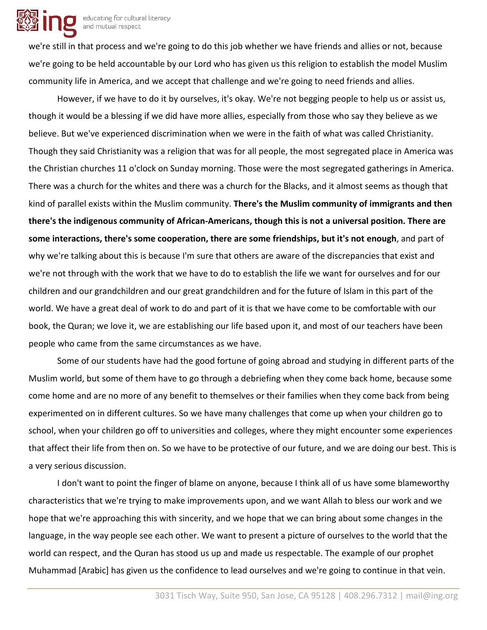

we're still in that process and we're going to do this job whether we have friends and allies or not, because we're going to be held accountable by our Lord who has given us this religion to establish the model Muslim community life in America, and we accept that challenge and we're going to need friends and allies.

However, if we have to do it by ourselves, it's okay. We're not begging people to help us or assist us, though it would be a blessing if we did have more allies, especially from those who say they believe as we believe. But we've experienced discrimination when we were in the faith of what was called Christianity. Though they said Christianity was a religion that was for all people, the most segregated place in America was the Christian churches 11 o'clock on Sunday morning. Those were the most segregated gatherings in America. There was a church for the whites and there was a church for the Blacks, and it almost seems as though that kind of parallel exists within the Muslim community. **There's the Muslim community of immigrants and then there's the indigenous community of African-Americans, though this is not a universal position. There are some interactions, there's some cooperation, there are some friendships, but it's not enough**, and part of why we're talking about this is because I'm sure that others are aware of the discrepancies that exist and we're not through with the work that we have to do to establish the life we want for ourselves and for our children and our grandchildren and our great grandchildren and for the future of Islam in this part of the world. We have a great deal of work to do and part of it is that we have come to be comfortable with our book, the Quran; we love it, we are establishing our life based upon it, and most of our teachers have been people who came from the same circumstances as we have.

Some of our students have had the good fortune of going abroad and studying in different parts of the Muslim world, but some of them have to go through a debriefing when they come back home, because some come home and are no more of any benefit to themselves or their families when they come back from being experimented on in different cultures. So we have many challenges that come up when your children go to school, when your children go off to universities and colleges, where they might encounter some experiences that affect their life from then on. So we have to be protective of our future, and we are doing our best. This is a very serious discussion.

I don't want to point the finger of blame on anyone, because I think all of us have some blameworthy characteristics that we're trying to make improvements upon, and we want Allah to bless our work and we hope that we're approaching this with sincerity, and we hope that we can bring about some changes in the language, in the way people see each other. We want to present a picture of ourselves to the world that the world can respect, and the Quran has stood us up and made us respectable. The example of our prophet Muhammad [Arabic] has given us the confidence to lead ourselves and we're going to continue in that vein.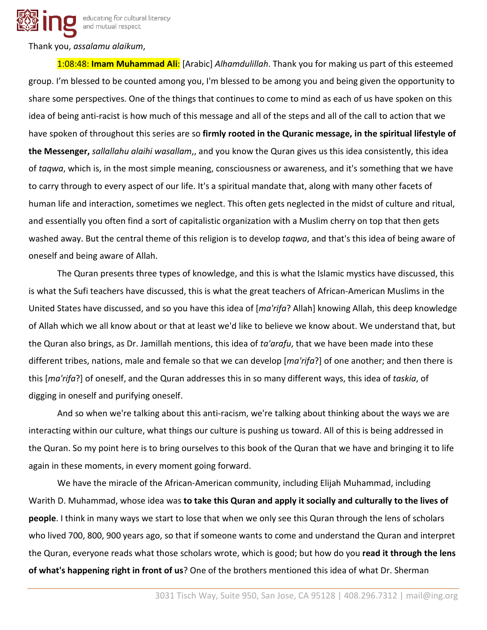educating for cultural literacy and mutual respect

Thank you, *assalamu alaikum*,

1:08:48: **Imam Muhammad Ali**: [Arabic] *Alhamdulillah*. Thank you for making us part of this esteemed group. I'm blessed to be counted among you, I'm blessed to be among you and being given the opportunity to share some perspectives. One of the things that continues to come to mind as each of us have spoken on this idea of being anti-racist is how much of this message and all of the steps and all of the call to action that we have spoken of throughout this series are so **firmly rooted in the Quranic message, in the spiritual lifestyle of the Messenger,** *sallallahu alaihi wasallam*,, and you know the Quran gives us this idea consistently, this idea of *taqwa*, which is, in the most simple meaning, consciousness or awareness, and it's something that we have to carry through to every aspect of our life. It's a spiritual mandate that, along with many other facets of human life and interaction, sometimes we neglect. This often gets neglected in the midst of culture and ritual, and essentially you often find a sort of capitalistic organization with a Muslim cherry on top that then gets washed away. But the central theme of this religion is to develop *taqwa*, and that's this idea of being aware of oneself and being aware of Allah.

The Quran presents three types of knowledge, and this is what the Islamic mystics have discussed, this is what the Sufi teachers have discussed, this is what the great teachers of African-American Muslims in the United States have discussed, and so you have this idea of [*ma'rifa*? Allah] knowing Allah, this deep knowledge of Allah which we all know about or that at least we'd like to believe we know about. We understand that, but the Quran also brings, as Dr. Jamillah mentions, this idea of *ta'arafu*, that we have been made into these different tribes, nations, male and female so that we can develop [*ma'rifa*?] of one another; and then there is this [*ma'rifa*?] of oneself, and the Quran addresses this in so many different ways, this idea of *taskia*, of digging in oneself and purifying oneself.

And so when we're talking about this anti-racism, we're talking about thinking about the ways we are interacting within our culture, what things our culture is pushing us toward. All of this is being addressed in the Quran. So my point here is to bring ourselves to this book of the Quran that we have and bringing it to life again in these moments, in every moment going forward.

We have the miracle of the African-American community, including Elijah Muhammad, including Warith D. Muhammad, whose idea was **to take this Quran and apply it socially and culturally to the lives of people**. I think in many ways we start to lose that when we only see this Quran through the lens of scholars who lived 700, 800, 900 years ago, so that if someone wants to come and understand the Quran and interpret the Quran, everyone reads what those scholars wrote, which is good; but how do you **read it through the lens of what's happening right in front of us**? One of the brothers mentioned this idea of what Dr. Sherman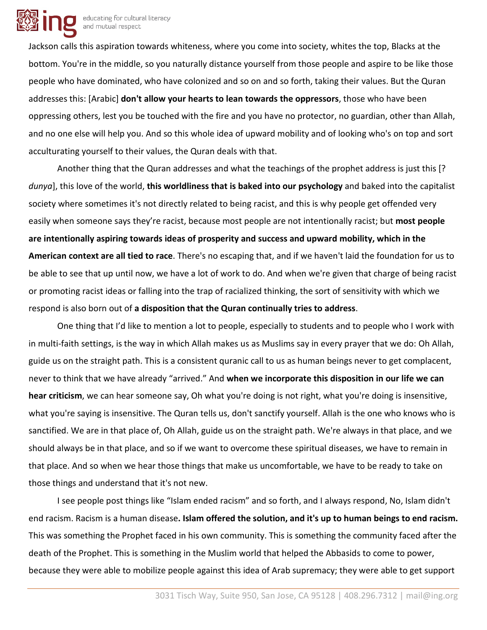

Jackson calls this aspiration towards whiteness, where you come into society, whites the top, Blacks at the bottom. You're in the middle, so you naturally distance yourself from those people and aspire to be like those people who have dominated, who have colonized and so on and so forth, taking their values. But the Quran addresses this: [Arabic] **don't allow your hearts to lean towards the oppressors**, those who have been oppressing others, lest you be touched with the fire and you have no protector, no guardian, other than Allah, and no one else will help you. And so this whole idea of upward mobility and of looking who's on top and sort acculturating yourself to their values, the Quran deals with that.

Another thing that the Quran addresses and what the teachings of the prophet address is just this [? *dunya*], this love of the world, **this worldliness that is baked into our psychology** and baked into the capitalist society where sometimes it's not directly related to being racist, and this is why people get offended very easily when someone says they're racist, because most people are not intentionally racist; but **most people are intentionally aspiring towards ideas of prosperity and success and upward mobility, which in the American context are all tied to race**. There's no escaping that, and if we haven't laid the foundation for us to be able to see that up until now, we have a lot of work to do. And when we're given that charge of being racist or promoting racist ideas or falling into the trap of racialized thinking, the sort of sensitivity with which we respond is also born out of **a disposition that the Quran continually tries to address**.

One thing that I'd like to mention a lot to people, especially to students and to people who I work with in multi-faith settings, is the way in which Allah makes us as Muslims say in every prayer that we do: Oh Allah, guide us on the straight path. This is a consistent quranic call to us as human beings never to get complacent, never to think that we have already "arrived." And **when we incorporate this disposition in our life we can hear criticism**, we can hear someone say, Oh what you're doing is not right, what you're doing is insensitive, what you're saying is insensitive. The Quran tells us, don't sanctify yourself. Allah is the one who knows who is sanctified. We are in that place of, Oh Allah, guide us on the straight path. We're always in that place, and we should always be in that place, and so if we want to overcome these spiritual diseases, we have to remain in that place. And so when we hear those things that make us uncomfortable, we have to be ready to take on those things and understand that it's not new.

I see people post things like "Islam ended racism" and so forth, and I always respond, No, Islam didn't end racism. Racism is a human disease**. Islam offered the solution, and it's up to human beings to end racism.**  This was something the Prophet faced in his own community. This is something the community faced after the death of the Prophet. This is something in the Muslim world that helped the Abbasids to come to power, because they were able to mobilize people against this idea of Arab supremacy; they were able to get support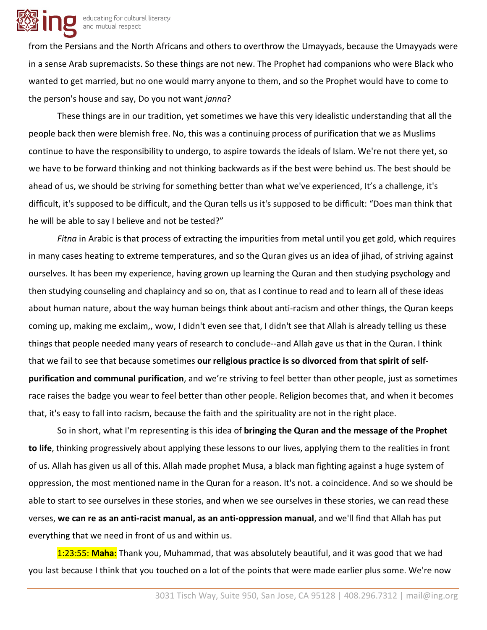

from the Persians and the North Africans and others to overthrow the Umayyads, because the Umayyads were in a sense Arab supremacists. So these things are not new. The Prophet had companions who were Black who wanted to get married, but no one would marry anyone to them, and so the Prophet would have to come to the person's house and say, Do you not want *janna*?

These things are in our tradition, yet sometimes we have this very idealistic understanding that all the people back then were blemish free. No, this was a continuing process of purification that we as Muslims continue to have the responsibility to undergo, to aspire towards the ideals of Islam. We're not there yet, so we have to be forward thinking and not thinking backwards as if the best were behind us. The best should be ahead of us, we should be striving for something better than what we've experienced, It's a challenge, it's difficult, it's supposed to be difficult, and the Quran tells us it's supposed to be difficult: "Does man think that he will be able to say I believe and not be tested?"

*Fitna* in Arabic is that process of extracting the impurities from metal until you get gold, which requires in many cases heating to extreme temperatures, and so the Quran gives us an idea of jihad, of striving against ourselves. It has been my experience, having grown up learning the Quran and then studying psychology and then studying counseling and chaplaincy and so on, that as I continue to read and to learn all of these ideas about human nature, about the way human beings think about anti-racism and other things, the Quran keeps coming up, making me exclaim,, wow, I didn't even see that, I didn't see that Allah is already telling us these things that people needed many years of research to conclude--and Allah gave us that in the Quran. I think that we fail to see that because sometimes **our religious practice is so divorced from that spirit of selfpurification and communal purification**, and we're striving to feel better than other people, just as sometimes race raises the badge you wear to feel better than other people. Religion becomes that, and when it becomes that, it's easy to fall into racism, because the faith and the spirituality are not in the right place.

So in short, what I'm representing is this idea of **bringing the Quran and the message of the Prophet to life**, thinking progressively about applying these lessons to our lives, applying them to the realities in front of us. Allah has given us all of this. Allah made prophet Musa, a black man fighting against a huge system of oppression, the most mentioned name in the Quran for a reason. It's not. a coincidence. And so we should be able to start to see ourselves in these stories, and when we see ourselves in these stories, we can read these verses, **we can re as an anti-racist manual, as an anti-oppression manual**, and we'll find that Allah has put everything that we need in front of us and within us.

1:23:55: **Maha**: Thank you, Muhammad, that was absolutely beautiful, and it was good that we had you last because I think that you touched on a lot of the points that were made earlier plus some. We're now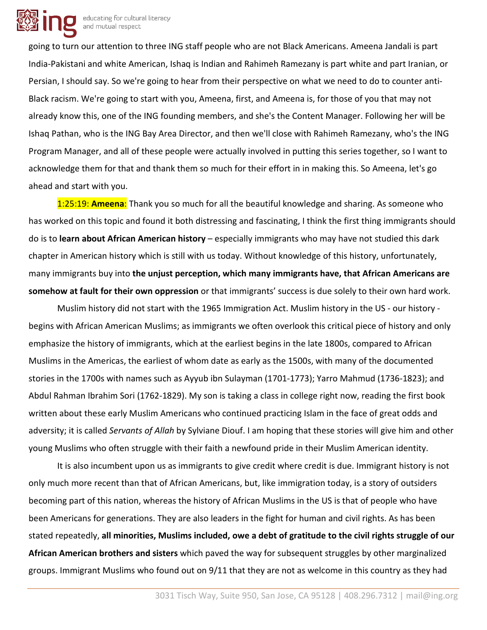

going to turn our attention to three ING staff people who are not Black Americans. Ameena Jandali is part India-Pakistani and white American, Ishaq is Indian and Rahimeh Ramezany is part white and part Iranian, or Persian, I should say. So we're going to hear from their perspective on what we need to do to counter anti-Black racism. We're going to start with you, Ameena, first, and Ameena is, for those of you that may not already know this, one of the ING founding members, and she's the Content Manager. Following her will be Ishaq Pathan, who is the ING Bay Area Director, and then we'll close with Rahimeh Ramezany, who's the ING Program Manager, and all of these people were actually involved in putting this series together, so I want to acknowledge them for that and thank them so much for their effort in in making this. So Ameena, let's go ahead and start with you.

1:25:19: **Ameena**: Thank you so much for all the beautiful knowledge and sharing. As someone who has worked on this topic and found it both distressing and fascinating, I think the first thing immigrants should do is to **learn about African American history** – especially immigrants who may have not studied this dark chapter in American history which is still with us today. Without knowledge of this history, unfortunately, many immigrants buy into **the unjust perception, which many immigrants have, that African Americans are somehow at fault for their own oppression** or that immigrants' success is due solely to their own hard work.

Muslim history did not start with the 1965 Immigration Act. Muslim history in the US - our history begins with African American Muslims; as immigrants we often overlook this critical piece of history and only emphasize the history of immigrants, which at the earliest begins in the late 1800s, compared to African Muslims in the Americas, the earliest of whom date as early as the 1500s, with many of the documented stories in the 1700s with names such as Ayyub ibn Sulayman (1701-1773); Yarro Mahmud (1736-1823); and Abdul Rahman Ibrahim Sori (1762-1829). My son is taking a class in college right now, reading the first book written about these early Muslim Americans who continued practicing Islam in the face of great odds and adversity; it is called *Servants of Allah* by Sylviane Diouf. I am hoping that these stories will give him and other young Muslims who often struggle with their faith a newfound pride in their Muslim American identity.

It is also incumbent upon us as immigrants to give credit where credit is due. Immigrant history is not only much more recent than that of African Americans, but, like immigration today, is a story of outsiders becoming part of this nation, whereas the history of African Muslims in the US is that of people who have been Americans for generations. They are also leaders in the fight for human and civil rights. As has been stated repeatedly, **all minorities, Muslims included, owe a debt of gratitude to the civil rights struggle of our African American brothers and sisters** which paved the way for subsequent struggles by other marginalized groups. Immigrant Muslims who found out on 9/11 that they are not as welcome in this country as they had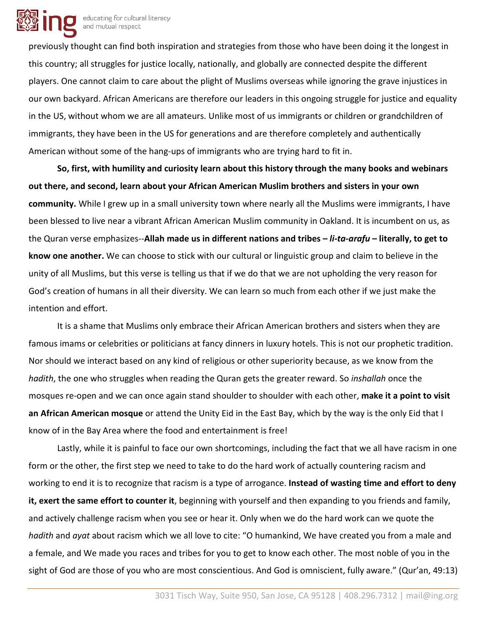

previously thought can find both inspiration and strategies from those who have been doing it the longest in this country; all struggles for justice locally, nationally, and globally are connected despite the different players. One cannot claim to care about the plight of Muslims overseas while ignoring the grave injustices in our own backyard. African Americans are therefore our leaders in this ongoing struggle for justice and equality in the US, without whom we are all amateurs. Unlike most of us immigrants or children or grandchildren of immigrants, they have been in the US for generations and are therefore completely and authentically American without some of the hang-ups of immigrants who are trying hard to fit in.

**So, first, with humility and curiosity learn about this history through the many books and webinars out there, and second, learn about your African American Muslim brothers and sisters in your own community.** While I grew up in a small university town where nearly all the Muslims were immigrants, I have been blessed to live near a vibrant African American Muslim community in Oakland. It is incumbent on us, as the Quran verse emphasizes--**Allah made us in different nations and tribes –** *li-ta-arafu* **– literally, to get to know one another.** We can choose to stick with our cultural or linguistic group and claim to believe in the unity of all Muslims, but this verse is telling us that if we do that we are not upholding the very reason for God's creation of humans in all their diversity. We can learn so much from each other if we just make the intention and effort.

It is a shame that Muslims only embrace their African American brothers and sisters when they are famous imams or celebrities or politicians at fancy dinners in luxury hotels. This is not our prophetic tradition. Nor should we interact based on any kind of religious or other superiority because, as we know from the *hadith*, the one who struggles when reading the Quran gets the greater reward. So *inshallah* once the mosques re-open and we can once again stand shoulder to shoulder with each other, **make it a point to visit an African American mosque** or attend the Unity Eid in the East Bay, which by the way is the only Eid that I know of in the Bay Area where the food and entertainment is free!

Lastly, while it is painful to face our own shortcomings, including the fact that we all have racism in one form or the other, the first step we need to take to do the hard work of actually countering racism and working to end it is to recognize that racism is a type of arrogance. **Instead of wasting time and effort to deny it, exert the same effort to counter it**, beginning with yourself and then expanding to you friends and family, and actively challenge racism when you see or hear it. Only when we do the hard work can we quote the *hadith* and *ayat* about racism which we all love to cite: "O humankind, We have created you from a male and a female, and We made you races and tribes for you to get to know each other. The most noble of you in the sight of God are those of you who are most conscientious. And God is omniscient, fully aware." (Qur'an, 49:13)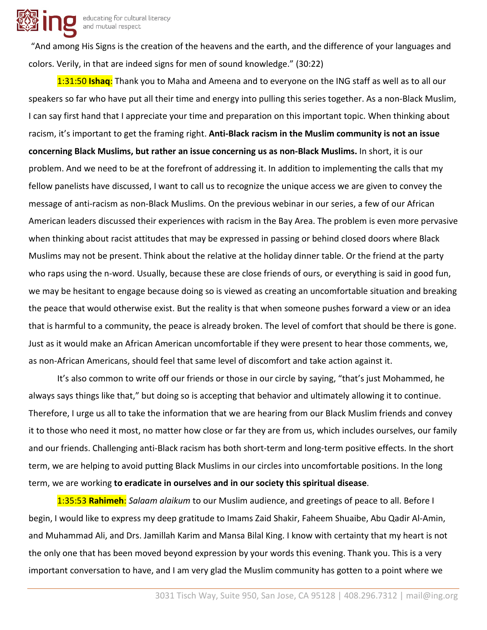

"And among His Signs is the creation of the heavens and the earth, and the difference of your languages and colors. Verily, in that are indeed signs for men of sound knowledge." (30:22)

1:31:50 **Ishaq**: Thank you to Maha and Ameena and to everyone on the ING staff as well as to all our speakers so far who have put all their time and energy into pulling this series together. As a non-Black Muslim, I can say first hand that I appreciate your time and preparation on this important topic. When thinking about racism, it's important to get the framing right. **Anti-Black racism in the Muslim community is not an issue concerning Black Muslims, but rather an issue concerning us as non-Black Muslims.** In short, it is our problem. And we need to be at the forefront of addressing it. In addition to implementing the calls that my fellow panelists have discussed, I want to call us to recognize the unique access we are given to convey the message of anti-racism as non-Black Muslims. On the previous webinar in our series, a few of our African American leaders discussed their experiences with racism in the Bay Area. The problem is even more pervasive when thinking about racist attitudes that may be expressed in passing or behind closed doors where Black Muslims may not be present. Think about the relative at the holiday dinner table. Or the friend at the party who raps using the n-word. Usually, because these are close friends of ours, or everything is said in good fun, we may be hesitant to engage because doing so is viewed as creating an uncomfortable situation and breaking the peace that would otherwise exist. But the reality is that when someone pushes forward a view or an idea that is harmful to a community, the peace is already broken. The level of comfort that should be there is gone. Just as it would make an African American uncomfortable if they were present to hear those comments, we, as non-African Americans, should feel that same level of discomfort and take action against it.

It's also common to write off our friends or those in our circle by saying, "that's just Mohammed, he always says things like that," but doing so is accepting that behavior and ultimately allowing it to continue. Therefore, I urge us all to take the information that we are hearing from our Black Muslim friends and convey it to those who need it most, no matter how close or far they are from us, which includes ourselves, our family and our friends. Challenging anti-Black racism has both short-term and long-term positive effects. In the short term, we are helping to avoid putting Black Muslims in our circles into uncomfortable positions. In the long term, we are working **to eradicate in ourselves and in our society this spiritual disease**.

1:35:53 **Rahimeh**: *Salaam alaikum* to our Muslim audience, and greetings of peace to all. Before I begin, I would like to express my deep gratitude to Imams Zaid Shakir, Faheem Shuaibe, Abu Qadir Al-Amin, and Muhammad Ali, and Drs. Jamillah Karim and Mansa Bilal King. I know with certainty that my heart is not the only one that has been moved beyond expression by your words this evening. Thank you. This is a very important conversation to have, and I am very glad the Muslim community has gotten to a point where we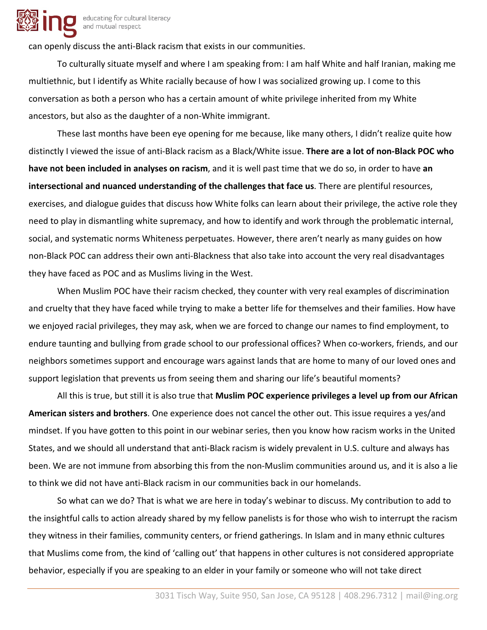

can openly discuss the anti-Black racism that exists in our communities.

To culturally situate myself and where I am speaking from: I am half White and half Iranian, making me multiethnic, but I identify as White racially because of how I was socialized growing up. I come to this conversation as both a person who has a certain amount of white privilege inherited from my White ancestors, but also as the daughter of a non-White immigrant.

These last months have been eye opening for me because, like many others, I didn't realize quite how distinctly I viewed the issue of anti-Black racism as a Black/White issue. **There are a lot of non-Black POC who have not been included in analyses on racism**, and it is well past time that we do so, in order to have **an intersectional and nuanced understanding of the challenges that face us**. There are plentiful resources, exercises, and dialogue guides that discuss how White folks can learn about their privilege, the active role they need to play in dismantling white supremacy, and how to identify and work through the problematic internal, social, and systematic norms Whiteness perpetuates. However, there aren't nearly as many guides on how non-Black POC can address their own anti-Blackness that also take into account the very real disadvantages they have faced as POC and as Muslims living in the West.

When Muslim POC have their racism checked, they counter with very real examples of discrimination and cruelty that they have faced while trying to make a better life for themselves and their families. How have we enjoyed racial privileges, they may ask, when we are forced to change our names to find employment, to endure taunting and bullying from grade school to our professional offices? When co-workers, friends, and our neighbors sometimes support and encourage wars against lands that are home to many of our loved ones and support legislation that prevents us from seeing them and sharing our life's beautiful moments?

All this is true, but still it is also true that **Muslim POC experience privileges a level up from our African American sisters and brothers**. One experience does not cancel the other out. This issue requires a yes/and mindset. If you have gotten to this point in our webinar series, then you know how racism works in the United States, and we should all understand that anti-Black racism is widely prevalent in U.S. culture and always has been. We are not immune from absorbing this from the non-Muslim communities around us, and it is also a lie to think we did not have anti-Black racism in our communities back in our homelands.

So what can we do? That is what we are here in today's webinar to discuss. My contribution to add to the insightful calls to action already shared by my fellow panelists is for those who wish to interrupt the racism they witness in their families, community centers, or friend gatherings. In Islam and in many ethnic cultures that Muslims come from, the kind of 'calling out' that happens in other cultures is not considered appropriate behavior, especially if you are speaking to an elder in your family or someone who will not take direct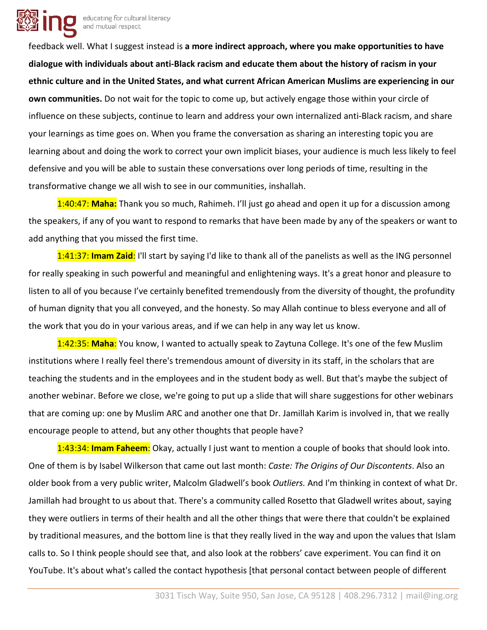

feedback well. What I suggest instead is **a more indirect approach, where you make opportunities to have dialogue with individuals about anti-Black racism and educate them about the history of racism in your ethnic culture and in the United States, and what current African American Muslims are experiencing in our own communities.** Do not wait for the topic to come up, but actively engage those within your circle of influence on these subjects, continue to learn and address your own internalized anti-Black racism, and share your learnings as time goes on. When you frame the conversation as sharing an interesting topic you are learning about and doing the work to correct your own implicit biases, your audience is much less likely to feel defensive and you will be able to sustain these conversations over long periods of time, resulting in the transformative change we all wish to see in our communities, inshallah.

1:40:47: **Maha:** Thank you so much, Rahimeh. I'll just go ahead and open it up for a discussion among the speakers, if any of you want to respond to remarks that have been made by any of the speakers or want to add anything that you missed the first time.

1:41:37: **Imam Zaid**: I'll start by saying I'd like to thank all of the panelists as well as the ING personnel for really speaking in such powerful and meaningful and enlightening ways. It's a great honor and pleasure to listen to all of you because I've certainly benefited tremendously from the diversity of thought, the profundity of human dignity that you all conveyed, and the honesty. So may Allah continue to bless everyone and all of the work that you do in your various areas, and if we can help in any way let us know.

1:42:35: **Maha**: You know, I wanted to actually speak to Zaytuna College. It's one of the few Muslim institutions where I really feel there's tremendous amount of diversity in its staff, in the scholars that are teaching the students and in the employees and in the student body as well. But that's maybe the subject of another webinar. Before we close, we're going to put up a slide that will share suggestions for other webinars that are coming up: one by Muslim ARC and another one that Dr. Jamillah Karim is involved in, that we really encourage people to attend, but any other thoughts that people have?

1:43:34: **Imam Faheem**: Okay, actually I just want to mention a couple of books that should look into. One of them is by Isabel Wilkerson that came out last month: *Caste: The Origins of Our Discontents*. Also an older book from a very public writer, Malcolm Gladwell's book *Outliers.* And I'm thinking in context of what Dr. Jamillah had brought to us about that. There's a community called Rosetto that Gladwell writes about, saying they were outliers in terms of their health and all the other things that were there that couldn't be explained by traditional measures, and the bottom line is that they really lived in the way and upon the values that Islam calls to. So I think people should see that, and also look at the robbers' cave experiment. You can find it on YouTube. It's about what's called the contact hypothesis [that personal contact between people of different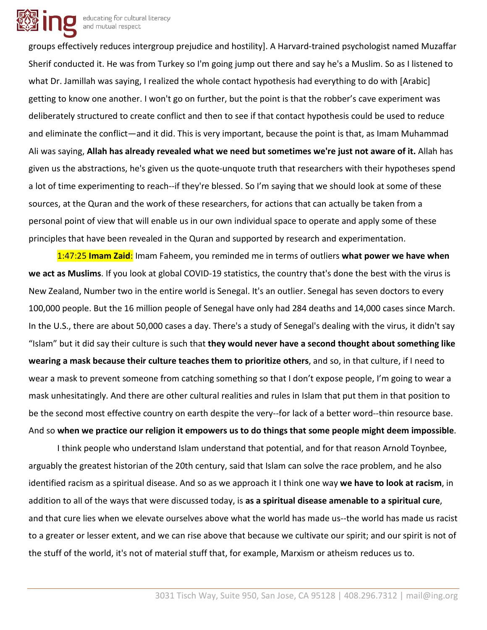

groups effectively reduces intergroup prejudice and hostility]. A Harvard-trained psychologist named Muzaffar Sherif conducted it. He was from Turkey so I'm going jump out there and say he's a Muslim. So as I listened to what Dr. Jamillah was saying, I realized the whole contact hypothesis had everything to do with [Arabic] getting to know one another. I won't go on further, but the point is that the robber's cave experiment was deliberately structured to create conflict and then to see if that contact hypothesis could be used to reduce and eliminate the conflict—and it did. This is very important, because the point is that, as Imam Muhammad Ali was saying, **Allah has already revealed what we need but sometimes we're just not aware of it.** Allah has given us the abstractions, he's given us the quote-unquote truth that researchers with their hypotheses spend a lot of time experimenting to reach--if they're blessed. So I'm saying that we should look at some of these sources, at the Quran and the work of these researchers, for actions that can actually be taken from a personal point of view that will enable us in our own individual space to operate and apply some of these principles that have been revealed in the Quran and supported by research and experimentation.

1:47:25 **Imam Zaid**: Imam Faheem, you reminded me in terms of outliers **what power we have when we act as Muslims**. If you look at global COVID-19 statistics, the country that's done the best with the virus is New Zealand, Number two in the entire world is Senegal. It's an outlier. Senegal has seven doctors to every 100,000 people. But the 16 million people of Senegal have only had 284 deaths and 14,000 cases since March. In the U.S., there are about 50,000 cases a day. There's a study of Senegal's dealing with the virus, it didn't say "Islam" but it did say their culture is such that **they would never have a second thought about something like wearing a mask because their culture teaches them to prioritize others**, and so, in that culture, if I need to wear a mask to prevent someone from catching something so that I don't expose people, I'm going to wear a mask unhesitatingly. And there are other cultural realities and rules in Islam that put them in that position to be the second most effective country on earth despite the very--for lack of a better word--thin resource base. And so **when we practice our religion it empowers us to do things that some people might deem impossible**.

I think people who understand Islam understand that potential, and for that reason Arnold Toynbee, arguably the greatest historian of the 20th century, said that Islam can solve the race problem, and he also identified racism as a spiritual disease. And so as we approach it I think one way **we have to look at racism**, in addition to all of the ways that were discussed today, is **as a spiritual disease amenable to a spiritual cure**, and that cure lies when we elevate ourselves above what the world has made us--the world has made us racist to a greater or lesser extent, and we can rise above that because we cultivate our spirit; and our spirit is not of the stuff of the world, it's not of material stuff that, for example, Marxism or atheism reduces us to.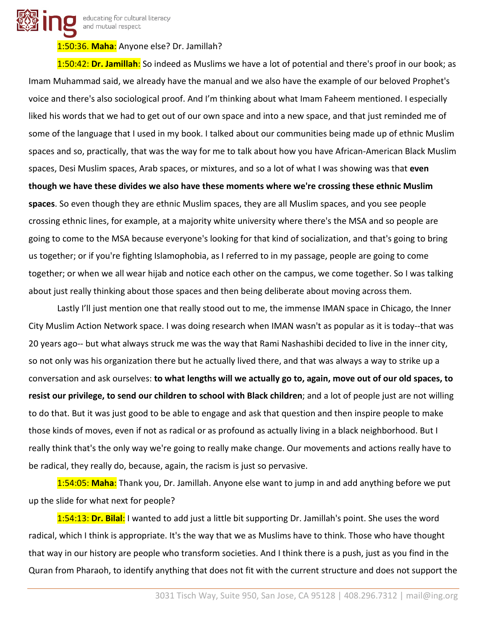educating for cultural literacy and mutual respect

#### 1:50:36. **Maha**: Anyone else? Dr. Jamillah?

1:50:42: **Dr. Jamillah**: So indeed as Muslims we have a lot of potential and there's proof in our book; as Imam Muhammad said, we already have the manual and we also have the example of our beloved Prophet's voice and there's also sociological proof. And I'm thinking about what Imam Faheem mentioned. I especially liked his words that we had to get out of our own space and into a new space, and that just reminded me of some of the language that I used in my book. I talked about our communities being made up of ethnic Muslim spaces and so, practically, that was the way for me to talk about how you have African-American Black Muslim spaces, Desi Muslim spaces, Arab spaces, or mixtures, and so a lot of what I was showing was that **even though we have these divides we also have these moments where we're crossing these ethnic Muslim spaces**. So even though they are ethnic Muslim spaces, they are all Muslim spaces, and you see people crossing ethnic lines, for example, at a majority white university where there's the MSA and so people are going to come to the MSA because everyone's looking for that kind of socialization, and that's going to bring us together; or if you're fighting Islamophobia, as I referred to in my passage, people are going to come together; or when we all wear hijab and notice each other on the campus, we come together. So I was talking about just really thinking about those spaces and then being deliberate about moving across them.

Lastly I'll just mention one that really stood out to me, the immense IMAN space in Chicago, the Inner City Muslim Action Network space. I was doing research when IMAN wasn't as popular as it is today--that was 20 years ago-- but what always struck me was the way that Rami Nashashibi decided to live in the inner city, so not only was his organization there but he actually lived there, and that was always a way to strike up a conversation and ask ourselves: **to what lengths will we actually go to, again, move out of our old spaces, to resist our privilege, to send our children to school with Black children**; and a lot of people just are not willing to do that. But it was just good to be able to engage and ask that question and then inspire people to make those kinds of moves, even if not as radical or as profound as actually living in a black neighborhood. But I really think that's the only way we're going to really make change. Our movements and actions really have to be radical, they really do, because, again, the racism is just so pervasive.

1:54:05: **Maha**: Thank you, Dr. Jamillah. Anyone else want to jump in and add anything before we put up the slide for what next for people?

1:54:13: **Dr. Bilal**: I wanted to add just a little bit supporting Dr. Jamillah's point. She uses the word radical, which I think is appropriate. It's the way that we as Muslims have to think. Those who have thought that way in our history are people who transform societies. And I think there is a push, just as you find in the Quran from Pharaoh, to identify anything that does not fit with the current structure and does not support the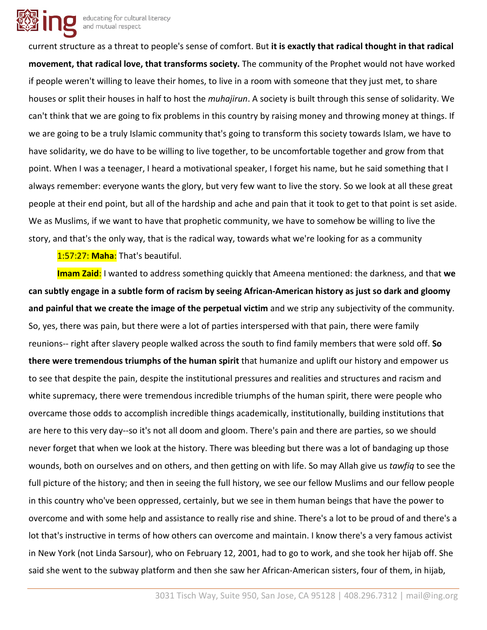

current structure as a threat to people's sense of comfort. But **it is exactly that radical thought in that radical movement, that radical love, that transforms society.** The community of the Prophet would not have worked if people weren't willing to leave their homes, to live in a room with someone that they just met, to share houses or split their houses in half to host the *muhajirun*. A society is built through this sense of solidarity. We can't think that we are going to fix problems in this country by raising money and throwing money at things. If we are going to be a truly Islamic community that's going to transform this society towards Islam, we have to have solidarity, we do have to be willing to live together, to be uncomfortable together and grow from that point. When I was a teenager, I heard a motivational speaker, I forget his name, but he said something that I always remember: everyone wants the glory, but very few want to live the story. So we look at all these great people at their end point, but all of the hardship and ache and pain that it took to get to that point is set aside. We as Muslims, if we want to have that prophetic community, we have to somehow be willing to live the story, and that's the only way, that is the radical way, towards what we're looking for as a community

1:57:27: **Maha**: That's beautiful.

**Imam Zaid**: I wanted to address something quickly that Ameena mentioned: the darkness, and that **we can subtly engage in a subtle form of racism by seeing African-American history as just so dark and gloomy and painful that we create the image of the perpetual victim** and we strip any subjectivity of the community. So, yes, there was pain, but there were a lot of parties interspersed with that pain, there were family reunions-- right after slavery people walked across the south to find family members that were sold off. **So there were tremendous triumphs of the human spirit** that humanize and uplift our history and empower us to see that despite the pain, despite the institutional pressures and realities and structures and racism and white supremacy, there were tremendous incredible triumphs of the human spirit, there were people who overcame those odds to accomplish incredible things academically, institutionally, building institutions that are here to this very day--so it's not all doom and gloom. There's pain and there are parties, so we should never forget that when we look at the history. There was bleeding but there was a lot of bandaging up those wounds, both on ourselves and on others, and then getting on with life. So may Allah give us *tawfiq* to see the full picture of the history; and then in seeing the full history, we see our fellow Muslims and our fellow people in this country who've been oppressed, certainly, but we see in them human beings that have the power to overcome and with some help and assistance to really rise and shine. There's a lot to be proud of and there's a lot that's instructive in terms of how others can overcome and maintain. I know there's a very famous activist in New York (not Linda Sarsour), who on February 12, 2001, had to go to work, and she took her hijab off. She said she went to the subway platform and then she saw her African-American sisters, four of them, in hijab,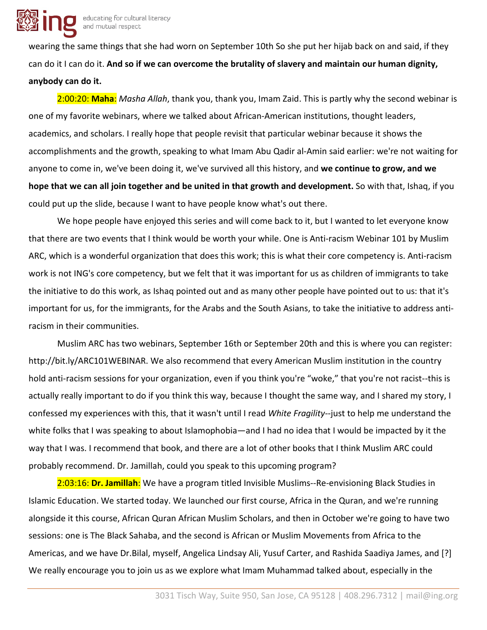wearing the same things that she had worn on September 10th So she put her hijab back on and said, if they can do it I can do it. **And so if we can overcome the brutality of slavery and maintain our human dignity, anybody can do it.**

2:00:20: **Maha**: *Masha Allah*, thank you, thank you, Imam Zaid. This is partly why the second webinar is one of my favorite webinars, where we talked about African-American institutions, thought leaders, academics, and scholars. I really hope that people revisit that particular webinar because it shows the accomplishments and the growth, speaking to what Imam Abu Qadir al-Amin said earlier: we're not waiting for anyone to come in, we've been doing it, we've survived all this history, and **we continue to grow, and we hope that we can all join together and be united in that growth and development.** So with that, Ishaq, if you could put up the slide, because I want to have people know what's out there.

We hope people have enjoyed this series and will come back to it, but I wanted to let everyone know that there are two events that I think would be worth your while. One is Anti-racism Webinar 101 by Muslim ARC, which is a wonderful organization that does this work; this is what their core competency is. Anti-racism work is not ING's core competency, but we felt that it was important for us as children of immigrants to take the initiative to do this work, as Ishaq pointed out and as many other people have pointed out to us: that it's important for us, for the immigrants, for the Arabs and the South Asians, to take the initiative to address antiracism in their communities.

Muslim ARC has two webinars, September 16th or September 20th and this is where you can register: http://bit.ly/ARC101WEBINAR. We also recommend that every American Muslim institution in the country hold anti-racism sessions for your organization, even if you think you're "woke," that you're not racist--this is actually really important to do if you think this way, because I thought the same way, and I shared my story, I confessed my experiences with this, that it wasn't until I read *White Fragility--*just to help me understand the white folks that I was speaking to about Islamophobia—and I had no idea that I would be impacted by it the way that I was. I recommend that book, and there are a lot of other books that I think Muslim ARC could probably recommend. Dr. Jamillah, could you speak to this upcoming program?

2:03:16: **Dr. Jamillah**: We have a program titled Invisible Muslims--Re-envisioning Black Studies in Islamic Education. We started today. We launched our first course, Africa in the Quran, and we're running alongside it this course, African Quran African Muslim Scholars, and then in October we're going to have two sessions: one is The Black Sahaba, and the second is African or Muslim Movements from Africa to the Americas, and we have Dr.Bilal, myself, Angelica Lindsay Ali, Yusuf Carter, and Rashida Saadiya James, and [?] We really encourage you to join us as we explore what Imam Muhammad talked about, especially in the